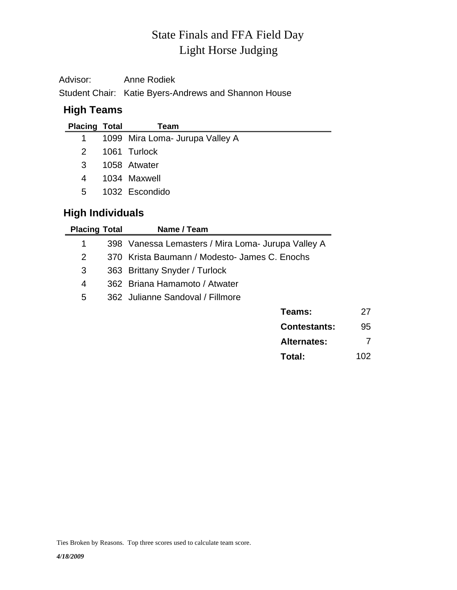# Light Horse Judging State Finals and FFA Field Day

| Advisor: | Anne Rodiek                                          |
|----------|------------------------------------------------------|
|          | Student Chair: Katie Byers-Andrews and Shannon House |

## **High Teams**

| <b>Placing Total</b> |   | Team                            |
|----------------------|---|---------------------------------|
| $\mathbf{1}$         |   | 1099 Mira Loma- Jurupa Valley A |
| $\mathcal{P}$        |   | 1061 Turlock                    |
| 3                    |   | 1058 Atwater                    |
| 4                    |   | 1034 Maxwell                    |
| 5.                   |   | 1032 Escondido                  |
| . .                  | . |                                 |

## **High Individuals**

| <b>Placing Total</b> | Name / Team                                        |    |
|----------------------|----------------------------------------------------|----|
| 1                    | 398 Vanessa Lemasters / Mira Loma- Jurupa Valley A |    |
| 2                    | 370 Krista Baumann / Modesto- James C. Enochs      |    |
| 3                    | 363 Brittany Snyder / Turlock                      |    |
| 4                    | 362 Briana Hamamoto / Atwater                      |    |
| 5                    | 362 Julianne Sandoval / Fillmore                   |    |
|                      | Teams:                                             | 27 |
|                      | <b>Contestants:</b>                                | 95 |
|                      | <b>Alternates:</b>                                 |    |

| , ,,,,,,,,,,,,,, |     |
|------------------|-----|
| Total:           | 102 |

Ties Broken by Reasons. Top three scores used to calculate team score.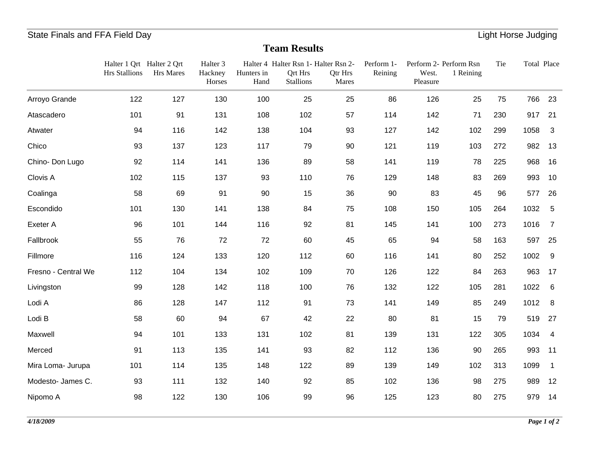# State Finals and FFA Field Day **Contract Contract Contract Contract Contract Contract Contract Contract Contract Contract Contract Contract Contract Contract Contract Contract Contract Contract Contract Contract Contract C**

## **Team Results**

|                     | Halter 1 Qrt Halter 2 Qrt<br><b>Hrs Stallions</b> | <b>Hrs Mares</b> | Halter <sub>3</sub><br>Hackney<br>Horses | Hunters in<br>Hand | Halter 4 Halter Rsn 1- Halter Rsn 2-<br><b>Qrt Hrs</b><br><b>Stallions</b> | Qtr Hrs<br>Mares | Perform 1-<br>Reining | West.<br>Pleasure | Perform 2- Perform Rsn<br>1 Reining | Tie | Total Place |                |
|---------------------|---------------------------------------------------|------------------|------------------------------------------|--------------------|----------------------------------------------------------------------------|------------------|-----------------------|-------------------|-------------------------------------|-----|-------------|----------------|
| Arroyo Grande       | 122                                               | 127              | 130                                      | 100                | 25                                                                         | 25               | 86                    | 126               | 25                                  | 75  | 766         | 23             |
| Atascadero          | 101                                               | 91               | 131                                      | 108                | 102                                                                        | 57               | 114                   | 142               | 71                                  | 230 | 917         | 21             |
| Atwater             | 94                                                | 116              | 142                                      | 138                | 104                                                                        | 93               | 127                   | 142               | 102                                 | 299 | 1058        | $\mathbf{3}$   |
| Chico               | 93                                                | 137              | 123                                      | 117                | 79                                                                         | 90               | 121                   | 119               | 103                                 | 272 | 982         | 13             |
| Chino-Don Lugo      | 92                                                | 114              | 141                                      | 136                | 89                                                                         | 58               | 141                   | 119               | 78                                  | 225 | 968         | 16             |
| Clovis A            | 102                                               | 115              | 137                                      | 93                 | 110                                                                        | 76               | 129                   | 148               | 83                                  | 269 | 993         | 10             |
| Coalinga            | 58                                                | 69               | 91                                       | 90                 | 15                                                                         | 36               | 90                    | 83                | 45                                  | 96  | 577         | 26             |
| Escondido           | 101                                               | 130              | 141                                      | 138                | 84                                                                         | 75               | 108                   | 150               | 105                                 | 264 | 1032        | $\sqrt{5}$     |
| Exeter A            | 96                                                | 101              | 144                                      | 116                | 92                                                                         | 81               | 145                   | 141               | 100                                 | 273 | 1016        | $\overline{7}$ |
| Fallbrook           | 55                                                | 76               | 72                                       | 72                 | 60                                                                         | 45               | 65                    | 94                | 58                                  | 163 | 597         | 25             |
| Fillmore            | 116                                               | 124              | 133                                      | 120                | 112                                                                        | 60               | 116                   | 141               | 80                                  | 252 | 1002        | 9              |
| Fresno - Central We | 112                                               | 104              | 134                                      | 102                | 109                                                                        | 70               | 126                   | 122               | 84                                  | 263 | 963         | 17             |
| Livingston          | 99                                                | 128              | 142                                      | 118                | 100                                                                        | 76               | 132                   | 122               | 105                                 | 281 | 1022        | 6              |
| Lodi A              | 86                                                | 128              | 147                                      | 112                | 91                                                                         | 73               | 141                   | 149               | 85                                  | 249 | 1012        | 8              |
| Lodi B              | 58                                                | 60               | 94                                       | 67                 | 42                                                                         | 22               | 80                    | 81                | 15                                  | 79  | 519         | 27             |
| Maxwell             | 94                                                | 101              | 133                                      | 131                | 102                                                                        | 81               | 139                   | 131               | 122                                 | 305 | 1034        | $\overline{4}$ |
| Merced              | 91                                                | 113              | 135                                      | 141                | 93                                                                         | 82               | 112                   | 136               | 90                                  | 265 | 993         | 11             |
| Mira Loma- Jurupa   | 101                                               | 114              | 135                                      | 148                | 122                                                                        | 89               | 139                   | 149               | 102                                 | 313 | 1099        | $\mathbf 1$    |
| Modesto- James C.   | 93                                                | 111              | 132                                      | 140                | 92                                                                         | 85               | 102                   | 136               | 98                                  | 275 | 989         | 12             |
| Nipomo A            | 98                                                | 122              | 130                                      | 106                | 99                                                                         | 96               | 125                   | 123               | 80                                  | 275 | 979         | 14             |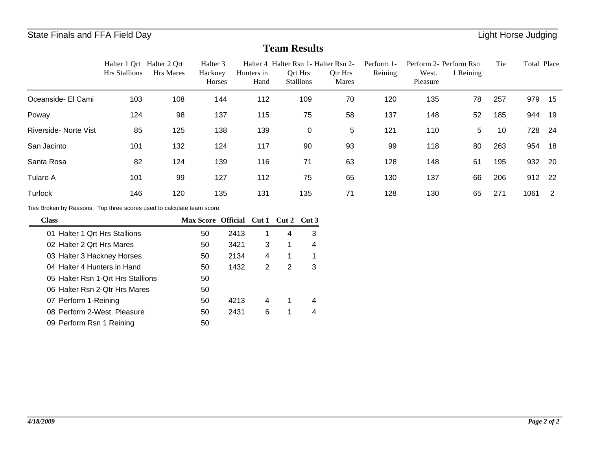## State Finals and FFA Field Day **Contract Contract Contract Contract Contract Contract Contract Contract Contract Contract Contract Contract Contract Contract Contract Contract Contract Contract Contract Contract Contract C**

## **Team Results**

|                                                                        | <b>Hrs Stallions</b> | Halter 1 Qrt Halter 2 Qrt<br><b>Hrs Mares</b> | Halter <sub>3</sub><br>Hackney<br>Horses | Hunters in | Hand           |   | Qrt Hrs<br><b>Stallions</b> | Halter 4 Halter Rsn 1- Halter Rsn 2-<br>Qtr Hrs<br>Mares | Perform 1-<br>Reining | West.<br>Pleasure | Perform 2- Perform Rsn<br>1 Reining | Tie | Total Place |                |
|------------------------------------------------------------------------|----------------------|-----------------------------------------------|------------------------------------------|------------|----------------|---|-----------------------------|----------------------------------------------------------|-----------------------|-------------------|-------------------------------------|-----|-------------|----------------|
| Oceanside- El Cami                                                     | 103                  | 108                                           | 144                                      |            | 112            |   | 109                         | 70                                                       | 120                   | 135               | 78                                  | 257 | 979         | 15             |
| Poway                                                                  | 124                  | 98                                            | 137                                      |            | 115            |   | 75                          | 58                                                       | 137                   | 148               | 52                                  | 185 | 944         | 19             |
| Riverside- Norte Vist                                                  | 85                   | 125                                           | 138                                      |            | 139            |   | $\mathbf 0$                 | 5                                                        | 121                   | 110               | 5                                   | 10  | 728         | -24            |
| San Jacinto                                                            | 101                  | 132                                           | 124                                      |            | 117            |   | 90                          | 93                                                       | 99                    | 118               | 80                                  | 263 | 954         | 18             |
| Santa Rosa                                                             | 82                   | 124                                           | 139                                      |            | 116            |   | 71                          | 63                                                       | 128                   | 148               | 61                                  | 195 | 932         | -20            |
| <b>Tulare A</b>                                                        | 101                  | 99                                            | 127                                      |            | 112            |   | 75                          | 65                                                       | 130                   | 137               | 66                                  | 206 | 912         | 22             |
| Turlock                                                                | 146                  | 120                                           | 135                                      |            | 131            |   | 135                         | 71                                                       | 128                   | 130               | 65                                  | 271 | 1061        | $\overline{2}$ |
| Ties Broken by Reasons. Top three scores used to calculate team score. |                      |                                               |                                          |            |                |   |                             |                                                          |                       |                   |                                     |     |             |                |
| <b>Class</b>                                                           |                      |                                               | Max Score Official Cut 1 Cut 2 Cut 3     |            |                |   |                             |                                                          |                       |                   |                                     |     |             |                |
| 01 Halter 1 Qrt Hrs Stallions                                          |                      |                                               | 50                                       | 2413       | 1              | 4 | 3                           |                                                          |                       |                   |                                     |     |             |                |
| 02 Halter 2 Qrt Hrs Mares                                              |                      |                                               | 50                                       | 3421       | 3              |   | 4                           |                                                          |                       |                   |                                     |     |             |                |
| 03 Halter 3 Hackney Horses                                             |                      |                                               | 50                                       | 2134       | 4              |   | 1                           |                                                          |                       |                   |                                     |     |             |                |
| 04 Halter 4 Hunters in Hand                                            |                      |                                               | 50                                       | 1432       | $\overline{2}$ | 2 | 3                           |                                                          |                       |                   |                                     |     |             |                |
| 05 Halter Rsn 1-Qrt Hrs Stallions                                      |                      |                                               | 50                                       |            |                |   |                             |                                                          |                       |                   |                                     |     |             |                |
| 06 Halter Rsn 2-Qtr Hrs Mares                                          |                      |                                               | 50                                       |            |                |   |                             |                                                          |                       |                   |                                     |     |             |                |
| 07 Perform 1-Reining                                                   |                      |                                               | 50                                       | 4213       | 4              |   | 4                           |                                                          |                       |                   |                                     |     |             |                |
| 08 Perform 2-West. Pleasure                                            |                      |                                               | 50                                       | 2431       | 6              |   | 4                           |                                                          |                       |                   |                                     |     |             |                |

09 50 Perform Rsn 1 Reining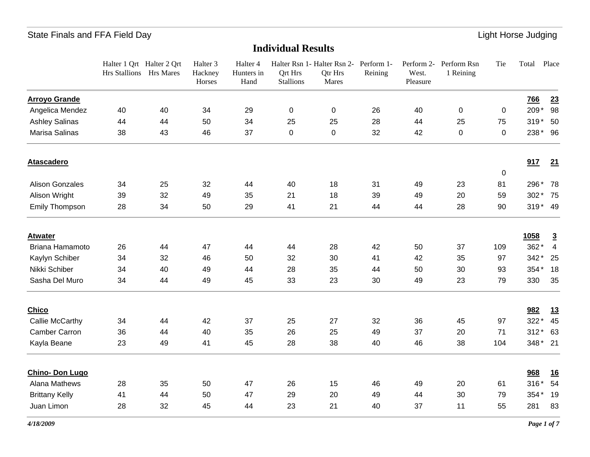|                        | Halter 1 Qrt Halter 2 Qrt<br>Hrs Stallions Hrs Mares |    | Halter <sub>3</sub><br>Hackney<br>Horses | Halter 4<br>Hunters in<br>Hand | <b>Qrt Hrs</b><br><b>Stallions</b> | Halter Rsn 1- Halter Rsn 2- Perform 1-<br><b>Qtr Hrs</b><br>Mares | Reining | West.<br>Pleasure | Perform 2- Perform Rsn<br>1 Reining | Tie     | Total      | Place          |
|------------------------|------------------------------------------------------|----|------------------------------------------|--------------------------------|------------------------------------|-------------------------------------------------------------------|---------|-------------------|-------------------------------------|---------|------------|----------------|
| <b>Arroyo Grande</b>   |                                                      |    |                                          |                                |                                    |                                                                   |         |                   |                                     |         | <u>766</u> | 23             |
| Angelica Mendez        | 40                                                   | 40 | 34                                       | 29                             | 0                                  | 0                                                                 | 26      | 40                | 0                                   | 0       | 209*       | 98             |
| <b>Ashley Salinas</b>  | 44                                                   | 44 | 50                                       | 34                             | 25                                 | 25                                                                | 28      | 44                | 25                                  | 75      | 319 * 50   |                |
| Marisa Salinas         | 38                                                   | 43 | 46                                       | 37                             | 0                                  | 0                                                                 | 32      | 42                | $\mathbf 0$                         | 0       | 238* 96    |                |
| <b>Atascadero</b>      |                                                      |    |                                          |                                |                                    |                                                                   |         |                   |                                     |         | 917        | 21             |
| <b>Alison Gonzales</b> | 34                                                   | 25 | 32                                       | 44                             | 40                                 | 18                                                                | 31      | 49                | 23                                  | 0<br>81 | 296* 78    |                |
| Alison Wright          | 39                                                   | 32 | 49                                       | 35                             | 21                                 | 18                                                                | 39      | 49                | 20                                  | 59      | 302 * 75   |                |
| Emily Thompson         | 28                                                   | 34 | 50                                       | 29                             | 41                                 | 21                                                                | 44      | 44                | 28                                  | 90      | 319* 49    |                |
| <b>Atwater</b>         |                                                      |    |                                          |                                |                                    |                                                                   |         |                   |                                     |         | 1058       | $\overline{3}$ |
| Briana Hamamoto        | 26                                                   | 44 | 47                                       | 44                             | 44                                 | 28                                                                | 42      | 50                | 37                                  | 109     | 362*       | $\overline{4}$ |
| Kaylyn Schiber         | 34                                                   | 32 | 46                                       | 50                             | 32                                 | 30                                                                | 41      | 42                | 35                                  | 97      | 342*       | 25             |
| Nikki Schiber          | 34                                                   | 40 | 49                                       | 44                             | 28                                 | 35                                                                | 44      | 50                | 30                                  | 93      | 354* 18    |                |
| Sasha Del Muro         | 34                                                   | 44 | 49                                       | 45                             | 33                                 | 23                                                                | 30      | 49                | 23                                  | 79      | 330        | 35             |
| <b>Chico</b>           |                                                      |    |                                          |                                |                                    |                                                                   |         |                   |                                     |         | 982        | <u>13</u>      |
| Callie McCarthy        | 34                                                   | 44 | 42                                       | 37                             | 25                                 | 27                                                                | 32      | 36                | 45                                  | 97      | $322*$     | 45             |
| <b>Camber Carron</b>   | 36                                                   | 44 | 40                                       | 35                             | 26                                 | 25                                                                | 49      | 37                | 20                                  | 71      | $312*$     | 63             |
| Kayla Beane            | 23                                                   | 49 | 41                                       | 45                             | 28                                 | 38                                                                | 40      | 46                | 38                                  | 104     | 348* 21    |                |
| Chino- Don Lugo        |                                                      |    |                                          |                                |                                    |                                                                   |         |                   |                                     |         | 968        | <u>16</u>      |
| Alana Mathews          | 28                                                   | 35 | 50                                       | 47                             | 26                                 | 15                                                                | 46      | 49                | 20                                  | 61      | $316*$     | 54             |
| <b>Brittany Kelly</b>  | 41                                                   | 44 | 50                                       | 47                             | 29                                 | 20                                                                | 49      | 44                | 30                                  | 79      | 354*       | 19             |
| Juan Limon             | 28                                                   | 32 | 45                                       | 44                             | 23                                 | 21                                                                | 40      | 37                | 11                                  | 55      | 281        | 83             |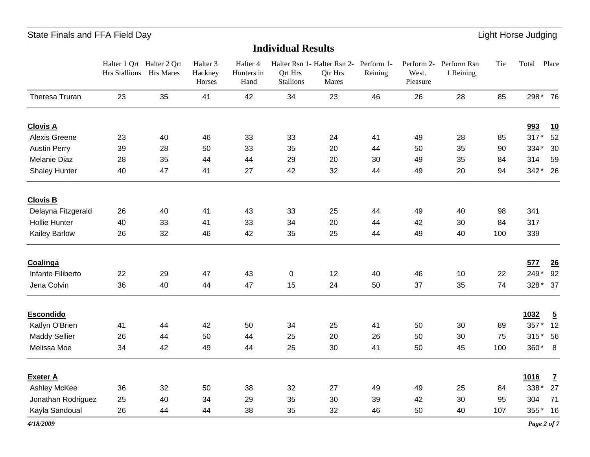#### **Individual Results**

|                      | Halter 1 Qrt Halter 2 Qrt<br>Hrs Stallions Hrs Mares |    | Halter <sub>3</sub><br>Hackney<br>Horses | Halter 4<br>Hunters in<br>Hand | <b>Qrt Hrs</b><br><b>Stallions</b> | Halter Rsn 1- Halter Rsn 2- Perform 1-<br>Qtr Hrs<br>Mares | Reining | West.<br>Pleasure | Perform 2- Perform Rsn<br>1 Reining | Tie | Total    | Place                    |
|----------------------|------------------------------------------------------|----|------------------------------------------|--------------------------------|------------------------------------|------------------------------------------------------------|---------|-------------------|-------------------------------------|-----|----------|--------------------------|
| Theresa Truran       | 23                                                   | 35 | 41                                       | 42                             | 34                                 | 23                                                         | 46      | 26                | 28                                  | 85  | 298* 76  |                          |
| <b>Clovis A</b>      |                                                      |    |                                          |                                |                                    |                                                            |         |                   |                                     |     | 993      | 10                       |
| <b>Alexis Greene</b> | 23                                                   | 40 | 46                                       | 33                             | 33                                 | 24                                                         | 41      | 49                | 28                                  | 85  | $317*$   | 52                       |
| <b>Austin Perry</b>  | 39                                                   | 28 | 50                                       | 33                             | 35                                 | 20                                                         | 44      | 50                | 35                                  | 90  | 334*     | 30                       |
| <b>Melanie Diaz</b>  | 28                                                   | 35 | 44                                       | 44                             | 29                                 | 20                                                         | 30      | 49                | 35                                  | 84  | 314      | 59                       |
| <b>Shaley Hunter</b> | 40                                                   | 47 | 41                                       | 27                             | 42                                 | 32                                                         | 44      | 49                | 20                                  | 94  | 342* 26  |                          |
| <b>Clovis B</b>      |                                                      |    |                                          |                                |                                    |                                                            |         |                   |                                     |     |          |                          |
| Delayna Fitzgerald   | 26                                                   | 40 | 41                                       | 43                             | 33                                 | 25                                                         | 44      | 49                | 40                                  | 98  | 341      |                          |
| <b>Hollie Hunter</b> | 40                                                   | 33 | 41                                       | 33                             | 34                                 | 20                                                         | 44      | 42                | 30                                  | 84  | 317      |                          |
| Kailey Barlow        | 26                                                   | 32 | 46                                       | 42                             | 35                                 | 25                                                         | 44      | 49                | 40                                  | 100 | 339      |                          |
| Coalinga             |                                                      |    |                                          |                                |                                    |                                                            |         |                   |                                     |     | 577      | 26                       |
| Infante Filiberto    | 22                                                   | 29 | 47                                       | 43                             | 0                                  | 12                                                         | 40      | 46                | 10                                  | 22  | 249*     | 92                       |
| Jena Colvin          | 36                                                   | 40 | 44                                       | 47                             | 15                                 | 24                                                         | 50      | 37                | 35                                  | 74  | 328 * 37 |                          |
| <b>Escondido</b>     |                                                      |    |                                          |                                |                                    |                                                            |         |                   |                                     |     | 1032     | $\overline{5}$           |
| Katlyn O'Brien       | 41                                                   | 44 | 42                                       | 50                             | 34                                 | 25                                                         | 41      | 50                | 30                                  | 89  | 357*     | 12                       |
| <b>Maddy Sellier</b> | 26                                                   | 44 | 50                                       | 44                             | 25                                 | 20                                                         | 26      | 50                | 30                                  | 75  | $315*$   | 56                       |
| Melissa Moe          | 34                                                   | 42 | 49                                       | 44                             | 25                                 | 30                                                         | 41      | 50                | 45                                  | 100 | 360* 8   |                          |
| <b>Exeter A</b>      |                                                      |    |                                          |                                |                                    |                                                            |         |                   |                                     |     | 1016     | $\underline{\mathbf{7}}$ |
| Ashley McKee         | 36                                                   | 32 | 50                                       | 38                             | 32                                 | 27                                                         | 49      | 49                | 25                                  | 84  | 338*     | 27                       |
| Jonathan Rodriguez   | 25                                                   | 40 | 34                                       | 29                             | 35                                 | 30                                                         | 39      | 42                | 30                                  | 95  | 304      | 71                       |
| Kayla Sandoual       | 26                                                   | 44 | 44                                       | 38                             | 35                                 | 32                                                         | 46      | 50                | 40                                  | 107 | 355*     | 16                       |

*4/18/2009*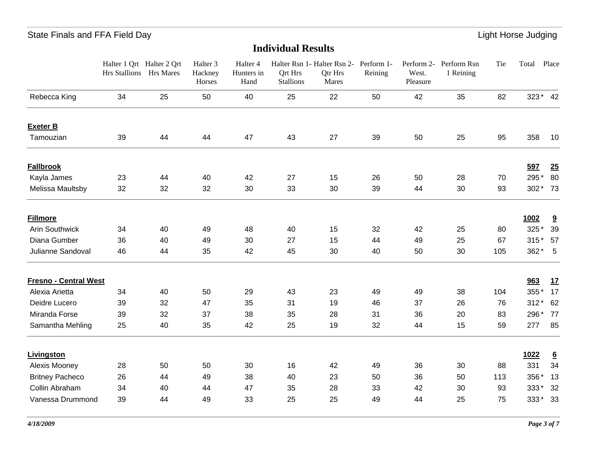|                              | Halter 1 Qrt Halter 2 Qrt<br>Hrs Stallions Hrs Mares |    | Halter <sub>3</sub><br>Hackney<br>Horses | Halter <sub>4</sub><br>Hunters in<br>Hand | Qrt Hrs<br><b>Stallions</b> | Halter Rsn 1- Halter Rsn 2- Perform 1-<br>Qtr Hrs<br>Mares | Reining | West.<br>Pleasure | Perform 2- Perform Rsn<br>1 Reining | Tie | Total  | Place                   |
|------------------------------|------------------------------------------------------|----|------------------------------------------|-------------------------------------------|-----------------------------|------------------------------------------------------------|---------|-------------------|-------------------------------------|-----|--------|-------------------------|
| Rebecca King                 | 34                                                   | 25 | 50                                       | 40                                        | 25                          | 22                                                         | 50      | 42                | 35                                  | 82  |        | 323* 42                 |
| <b>Exeter B</b>              |                                                      |    |                                          |                                           |                             |                                                            |         |                   |                                     |     |        |                         |
| Tamouzian                    | 39                                                   | 44 | 44                                       | 47                                        | 43                          | 27                                                         | 39      | 50                | 25                                  | 95  | 358    | 10                      |
| <b>Fallbrook</b>             |                                                      |    |                                          |                                           |                             |                                                            |         |                   |                                     |     | 597    | 25                      |
| Kayla James                  | 23                                                   | 44 | 40                                       | 42                                        | 27                          | 15                                                         | 26      | 50                | 28                                  | 70  | 295*   | 80                      |
| Melissa Maultsby             | 32                                                   | 32 | 32                                       | 30                                        | 33                          | 30                                                         | 39      | 44                | 30                                  | 93  |        | 302 * 73                |
| <b>Fillmore</b>              |                                                      |    |                                          |                                           |                             |                                                            |         |                   |                                     |     | 1002   | $\overline{\mathbf{3}}$ |
| <b>Arin Southwick</b>        | 34                                                   | 40 | 49                                       | 48                                        | 40                          | 15                                                         | 32      | 42                | 25                                  | 80  | 325*   | 39                      |
| Diana Gumber                 | 36                                                   | 40 | 49                                       | 30                                        | 27                          | 15                                                         | 44      | 49                | 25                                  | 67  |        | 315 * 57                |
| Julianne Sandoval            | 46                                                   | 44 | 35                                       | 42                                        | 45                          | 30                                                         | 40      | 50                | 30                                  | 105 | $362*$ | $-5$                    |
| <b>Fresno - Central West</b> |                                                      |    |                                          |                                           |                             |                                                            |         |                   |                                     |     | 963    | 17                      |
| Alexia Arietta               | 34                                                   | 40 | 50                                       | 29                                        | 43                          | 23                                                         | 49      | 49                | 38                                  | 104 | 355*   | 17                      |
| Deidre Lucero                | 39                                                   | 32 | 47                                       | 35                                        | 31                          | 19                                                         | 46      | 37                | 26                                  | 76  | $312*$ | 62                      |
| Miranda Forse                | 39                                                   | 32 | 37                                       | 38                                        | 35                          | 28                                                         | 31      | 36                | 20                                  | 83  | 296*   | 77                      |
| Samantha Mehling             | 25                                                   | 40 | 35                                       | 42                                        | 25                          | 19                                                         | 32      | 44                | 15                                  | 59  | 277    | 85                      |
| Livingston                   |                                                      |    |                                          |                                           |                             |                                                            |         |                   |                                     |     | 1022   | $\underline{6}$         |
| Alexis Mooney                | 28                                                   | 50 | 50                                       | 30                                        | 16                          | 42                                                         | 49      | 36                | 30                                  | 88  | 331    | 34                      |
| <b>Britney Pacheco</b>       | 26                                                   | 44 | 49                                       | 38                                        | 40                          | 23                                                         | 50      | 36                | 50                                  | 113 | 356*   | 13                      |
| Collin Abraham               | 34                                                   | 40 | 44                                       | 47                                        | 35                          | 28                                                         | 33      | 42                | 30                                  | 93  | $333*$ | 32                      |
| Vanessa Drummond             | 39                                                   | 44 | 49                                       | 33                                        | 25                          | 25                                                         | 49      | 44                | 25                                  | 75  | $333*$ | - 33                    |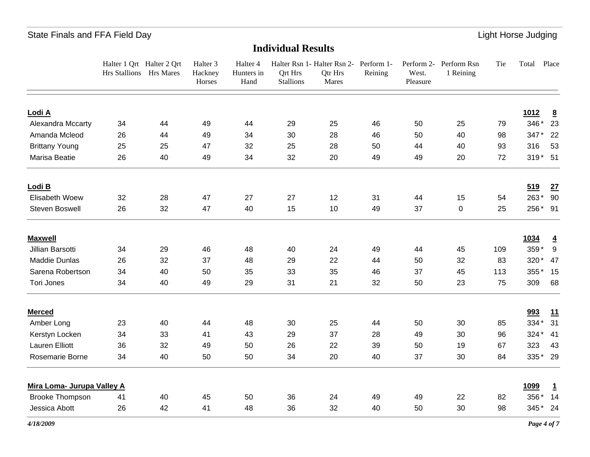|                            | Halter 1 Qrt Halter 2 Qrt<br>Hrs Stallions Hrs Mares |    | Halter <sub>3</sub><br>Hackney<br>Horses | Halter 4<br>Hunters in<br>Hand | Ort Hrs<br><b>Stallions</b> | Halter Rsn 1- Halter Rsn 2- Perform 1-<br>Qtr Hrs<br>Mares | Reining | West.<br>Pleasure | Perform 2- Perform Rsn<br>1 Reining | Tie | Total    | Place           |
|----------------------------|------------------------------------------------------|----|------------------------------------------|--------------------------------|-----------------------------|------------------------------------------------------------|---------|-------------------|-------------------------------------|-----|----------|-----------------|
| Lodi A                     |                                                      |    |                                          |                                |                             |                                                            |         |                   |                                     |     | 1012     | $\underline{8}$ |
| Alexandra Mccarty          | 34                                                   | 44 | 49                                       | 44                             | 29                          | 25                                                         | 46      | 50                | 25                                  | 79  | 346*     | 23              |
| Amanda Mcleod              | 26                                                   | 44 | 49                                       | 34                             | 30                          | 28                                                         | 46      | 50                | 40                                  | 98  | $347*$   | 22              |
| <b>Brittany Young</b>      | 25                                                   | 25 | 47                                       | 32                             | 25                          | 28                                                         | 50      | 44                | 40                                  | 93  | 316      | 53              |
| Marisa Beatie              | 26                                                   | 40 | 49                                       | 34                             | 32                          | 20                                                         | 49      | 49                | 20                                  | 72  | 319 * 51 |                 |
| Lodi B                     |                                                      |    |                                          |                                |                             |                                                            |         |                   |                                     |     | 519      | 27              |
| Elisabeth Woew             | 32                                                   | 28 | 47                                       | 27                             | 27                          | 12                                                         | 31      | 44                | 15                                  | 54  | 263* 90  |                 |
| Steven Boswell             | 26                                                   | 32 | 47                                       | 40                             | 15                          | 10                                                         | 49      | 37                | 0                                   | 25  | 256* 91  |                 |
| <b>Maxwell</b>             |                                                      |    |                                          |                                |                             |                                                            |         |                   |                                     |     | 1034     | $\overline{4}$  |
| Jillian Barsotti           | 34                                                   | 29 | 46                                       | 48                             | 40                          | 24                                                         | 49      | 44                | 45                                  | 109 | 359* 9   |                 |
| <b>Maddie Dunlas</b>       | 26                                                   | 32 | 37                                       | 48                             | 29                          | 22                                                         | 44      | 50                | 32                                  | 83  | 320* 47  |                 |
| Sarena Robertson           | 34                                                   | 40 | 50                                       | 35                             | 33                          | 35                                                         | 46      | 37                | 45                                  | 113 | 355* 15  |                 |
| <b>Tori Jones</b>          | 34                                                   | 40 | 49                                       | 29                             | 31                          | 21                                                         | 32      | 50                | 23                                  | 75  | 309      | 68              |
| <b>Merced</b>              |                                                      |    |                                          |                                |                             |                                                            |         |                   |                                     |     | 993      | <u>11</u>       |
| Amber Long                 | 23                                                   | 40 | 44                                       | 48                             | 30                          | 25                                                         | 44      | 50                | 30                                  | 85  | 334*     | 31              |
| Kerstyn Locken             | 34                                                   | 33 | 41                                       | 43                             | 29                          | 37                                                         | 28      | 49                | 30                                  | 96  | 324 * 41 |                 |
| <b>Lauren Elliott</b>      | 36                                                   | 32 | 49                                       | 50                             | 26                          | 22                                                         | 39      | 50                | 19                                  | 67  | 323      | 43              |
| Rosemarie Borne            | 34                                                   | 40 | 50                                       | 50                             | 34                          | 20                                                         | 40      | 37                | 30                                  | 84  | 335* 29  |                 |
| Mira Loma- Jurupa Valley A |                                                      |    |                                          |                                |                             |                                                            |         |                   |                                     |     | 1099     | $\overline{1}$  |
| <b>Brooke Thompson</b>     | 41                                                   | 40 | 45                                       | 50                             | 36                          | 24                                                         | 49      | 49                | 22                                  | 82  | 356* 14  |                 |
| Jessica Abott              | 26                                                   | 42 | 41                                       | 48                             | 36                          | 32                                                         | 40      | 50                | 30                                  | 98  | 345* 24  |                 |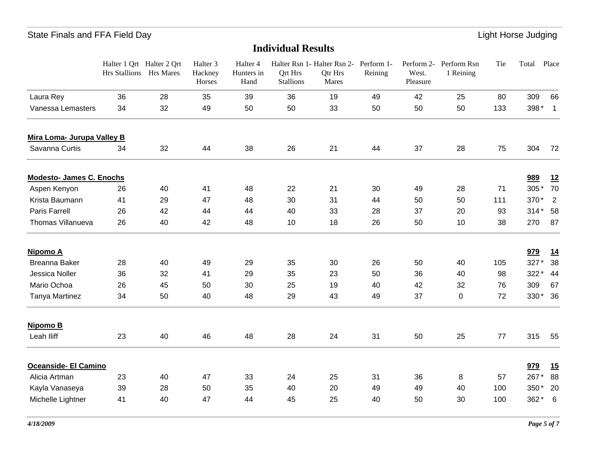|                                 | Halter 1 Qrt Halter 2 Qrt<br>Hrs Stallions Hrs Mares |    | Halter <sub>3</sub><br>Hackney<br>Horses | Halter 4<br>Hunters in<br>Hand | Qrt Hrs<br><b>Stallions</b> | Halter Rsn 1- Halter Rsn 2-<br>Qtr Hrs<br>Mares | Perform 1-<br>Reining | Perform 2-<br>West.<br>Pleasure | Perform Rsn<br>1 Reining | Tie | Total   | Place          |
|---------------------------------|------------------------------------------------------|----|------------------------------------------|--------------------------------|-----------------------------|-------------------------------------------------|-----------------------|---------------------------------|--------------------------|-----|---------|----------------|
| Laura Rey                       | 36                                                   | 28 | 35                                       | 39                             | 36                          | 19                                              | 49                    | 42                              | 25                       | 80  | 309     | 66             |
| Vanessa Lemasters               | 34                                                   | 32 | 49                                       | 50                             | 50                          | 33                                              | 50                    | 50                              | 50                       | 133 | 398*    | $\overline{1}$ |
| Mira Loma- Jurupa Valley B      |                                                      |    |                                          |                                |                             |                                                 |                       |                                 |                          |     |         |                |
| Savanna Curtis                  | 34                                                   | 32 | 44                                       | 38                             | 26                          | 21                                              | 44                    | 37                              | 28                       | 75  | 304     | 72             |
| <b>Modesto- James C. Enochs</b> |                                                      |    |                                          |                                |                             |                                                 |                       |                                 |                          |     | 989     | 12             |
| Aspen Kenyon                    | 26                                                   | 40 | 41                                       | 48                             | 22                          | 21                                              | 30                    | 49                              | 28                       | 71  | 305*    | 70             |
| Krista Baumann                  | 41                                                   | 29 | 47                                       | 48                             | 30                          | 31                                              | 44                    | 50                              | 50                       | 111 | 370*    | 2              |
| <b>Paris Farrell</b>            | 26                                                   | 42 | 44                                       | 44                             | 40                          | 33                                              | 28                    | 37                              | 20                       | 93  | 314* 58 |                |
| Thomas Villanueva               | 26                                                   | 40 | 42                                       | 48                             | 10                          | 18                                              | 26                    | 50                              | 10                       | 38  | 270     | 87             |
| Nipomo A                        |                                                      |    |                                          |                                |                             |                                                 |                       |                                 |                          |     | 979     | <u>14</u>      |
| Breanna Baker                   | 28                                                   | 40 | 49                                       | 29                             | 35                          | 30                                              | 26                    | 50                              | 40                       | 105 | 327*    | 38             |
| Jessica Noller                  | 36                                                   | 32 | 41                                       | 29                             | 35                          | 23                                              | 50                    | 36                              | 40                       | 98  | 322*    | 44             |
| Mario Ochoa                     | 26                                                   | 45 | 50                                       | 30                             | 25                          | 19                                              | 40                    | 42                              | 32                       | 76  | 309     | 67             |
| Tanya Martinez                  | 34                                                   | 50 | 40                                       | 48                             | 29                          | 43                                              | 49                    | 37                              | 0                        | 72  | $330*$  | 36             |
| Nipomo B                        |                                                      |    |                                          |                                |                             |                                                 |                       |                                 |                          |     |         |                |
| Leah Iliff                      | 23                                                   | 40 | 46                                       | 48                             | 28                          | 24                                              | 31                    | 50                              | 25                       | 77  | 315     | 55             |
| Oceanside- El Camino            |                                                      |    |                                          |                                |                             |                                                 |                       |                                 |                          |     | 979     | 15             |
| Alicia Artman                   | 23                                                   | 40 | 47                                       | 33                             | 24                          | 25                                              | 31                    | 36                              | 8                        | 57  | 267*    | 88             |
| Kayla Vanaseya                  | 39                                                   | 28 | 50                                       | 35                             | 40                          | 20                                              | 49                    | 49                              | 40                       | 100 | 350*    | 20             |
| Michelle Lightner               | 41                                                   | 40 | 47                                       | 44                             | 45                          | 25                                              | 40                    | 50                              | 30                       | 100 | 362*    | 6              |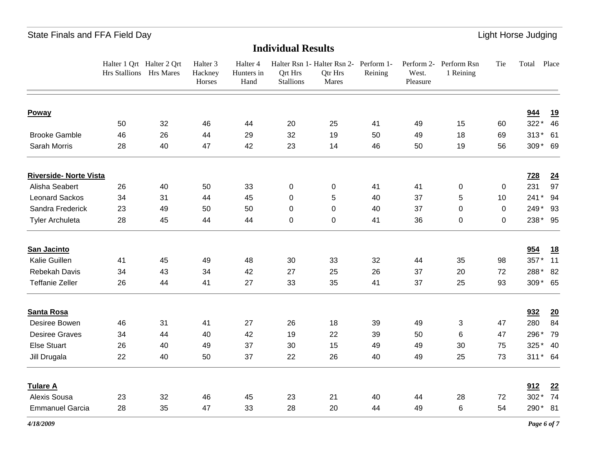|                               | Halter 1 Qrt Halter 2 Qrt<br>Hrs Stallions Hrs Mares |    | Halter <sub>3</sub><br>Hackney<br>Horses | Halter 4<br>Hunters in<br>Hand | Qrt Hrs<br><b>Stallions</b> | Halter Rsn 1- Halter Rsn 2- Perform 1-<br>Qtr Hrs<br>Mares | Reining | West.<br>Pleasure | Perform 2- Perform Rsn<br>1 Reining | Tie | Total    | Place     |
|-------------------------------|------------------------------------------------------|----|------------------------------------------|--------------------------------|-----------------------------|------------------------------------------------------------|---------|-------------------|-------------------------------------|-----|----------|-----------|
| Poway                         |                                                      |    |                                          |                                |                             |                                                            |         |                   |                                     |     | 944      | <u>19</u> |
|                               | 50                                                   | 32 | 46                                       | 44                             | 20                          | 25                                                         | 41      | 49                | 15                                  | 60  | 322*     | 46        |
| <b>Brooke Gamble</b>          | 46                                                   | 26 | 44                                       | 29                             | 32                          | 19                                                         | 50      | 49                | 18                                  | 69  | $313*61$ |           |
| Sarah Morris                  | 28                                                   | 40 | 47                                       | 42                             | 23                          | 14                                                         | 46      | 50                | 19                                  | 56  | 309* 69  |           |
| <b>Riverside- Norte Vista</b> |                                                      |    |                                          |                                |                             |                                                            |         |                   |                                     |     | 728      | 24        |
| Alisha Seabert                | 26                                                   | 40 | 50                                       | 33                             | 0                           | 0                                                          | 41      | 41                | 0                                   | 0   | 231      | 97        |
| <b>Leonard Sackos</b>         | 34                                                   | 31 | 44                                       | 45                             | $\pmb{0}$                   | 5                                                          | 40      | 37                | 5                                   | 10  | 241* 94  |           |
| Sandra Frederick              | 23                                                   | 49 | 50                                       | 50                             | $\mathbf 0$                 | 0                                                          | 40      | 37                | 0                                   | 0   | 249* 93  |           |
| <b>Tyler Archuleta</b>        | 28                                                   | 45 | 44                                       | 44                             | 0                           | 0                                                          | 41      | 36                | 0                                   | 0   | 238* 95  |           |
| San Jacinto                   |                                                      |    |                                          |                                |                             |                                                            |         |                   |                                     |     | 954      | <u>18</u> |
| Kalie Guillen                 | 41                                                   | 45 | 49                                       | 48                             | 30                          | 33                                                         | 32      | 44                | 35                                  | 98  | 357* 11  |           |
| Rebekah Davis                 | 34                                                   | 43 | 34                                       | 42                             | 27                          | 25                                                         | 26      | 37                | 20                                  | 72  | 288* 82  |           |
| <b>Teffanie Zeller</b>        | 26                                                   | 44 | 41                                       | 27                             | 33                          | 35                                                         | 41      | 37                | 25                                  | 93  | 309* 65  |           |
| <b>Santa Rosa</b>             |                                                      |    |                                          |                                |                             |                                                            |         |                   |                                     |     | 932      | 20        |
| Desiree Bowen                 | 46                                                   | 31 | 41                                       | 27                             | 26                          | 18                                                         | 39      | 49                | 3                                   | 47  | 280      | 84        |
| <b>Desiree Graves</b>         | 34                                                   | 44 | 40                                       | 42                             | 19                          | 22                                                         | 39      | 50                | 6                                   | 47  | 296*     | 79        |
| <b>Else Stuart</b>            | 26                                                   | 40 | 49                                       | 37                             | 30                          | 15                                                         | 49      | 49                | 30                                  | 75  | 325* 40  |           |
| Jill Drugala                  | 22                                                   | 40 | 50                                       | 37                             | 22                          | 26                                                         | 40      | 49                | 25                                  | 73  | 311* 64  |           |
| <b>Tulare A</b>               |                                                      |    |                                          |                                |                             |                                                            |         |                   |                                     |     | 912      | 22        |
| Alexis Sousa                  | 23                                                   | 32 | 46                                       | 45                             | 23                          | 21                                                         | 40      | 44                | 28                                  | 72  | 302*     | 74        |
| <b>Emmanuel Garcia</b>        | 28                                                   | 35 | 47                                       | 33                             | 28                          | 20                                                         | 44      | 49                | 6                                   | 54  | 290* 81  |           |